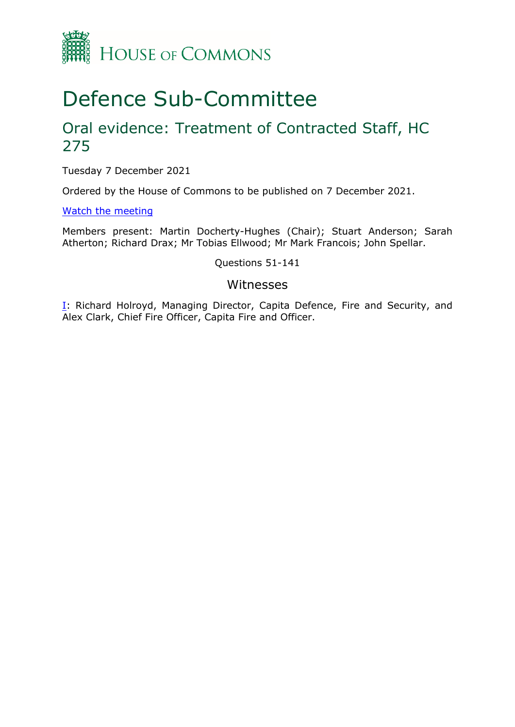

# Defence Sub-Committee

## Oral evidence: Treatment of Contracted Staff, HC 275

Tuesday 7 December 2021

Ordered by the House of Commons to be published on 7 December 2021.

[Watch](https://parliamentlive.tv/Event/Index/8ae1c008-a807-408a-beb0-793a1702b062) [the](https://parliamentlive.tv/Event/Index/8ae1c008-a807-408a-beb0-793a1702b062) [meeting](https://parliamentlive.tv/Event/Index/8ae1c008-a807-408a-beb0-793a1702b062)

Members present: Martin Docherty-Hughes (Chair); Stuart Anderson; Sarah Atherton; Richard Drax; Mr Tobias Ellwood; Mr Mark Francois; John Spellar.

Questions 51-141

### Witnesses

**[I:](#page-1-0)** Richard Holroyd, Managing Director, Capita Defence, Fire and Security, and Alex Clark, Chief Fire Officer, Capita Fire and Officer.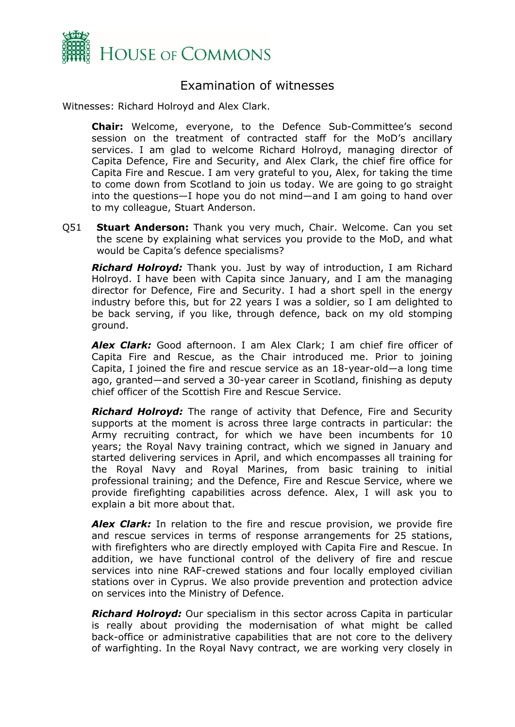

## <span id="page-1-0"></span>Examination of witnesses

Witnesses: Richard Holroyd and Alex Clark.

**Chair:** Welcome, everyone, to the Defence Sub-Committee's second session on the treatment of contracted staff for the MoD's ancillary services. I am glad to welcome Richard Holroyd, managing director of Capita Defence, Fire and Security, and Alex Clark, the chief fire office for Capita Fire and Rescue. I am very grateful to you, Alex, for taking the time to come down from Scotland to join us today. We are going to go straight into the questions—I hope you do not mind—and I am going to hand over to my colleague, Stuart Anderson.

Q51 **Stuart Anderson:** Thank you very much, Chair. Welcome. Can you set the scene by explaining what services you provide to the MoD, and what would be Capita's defence specialisms?

*Richard Holroyd:* Thank you. Just by way of introduction, I am Richard Holroyd. I have been with Capita since January, and I am the managing director for Defence, Fire and Security. I had a short spell in the energy industry before this, but for 22 years I was a soldier, so I am delighted to be back serving, if you like, through defence, back on my old stomping ground.

*Alex Clark:* Good afternoon. I am Alex Clark; I am chief fire officer of Capita Fire and Rescue, as the Chair introduced me. Prior to joining Capita, I joined the fire and rescue service as an 18-year-old—a long time ago, granted—and served a 30-year career in Scotland, finishing as deputy chief officer of the Scottish Fire and Rescue Service.

*Richard Holroyd:* The range of activity that Defence, Fire and Security supports at the moment is across three large contracts in particular: the Army recruiting contract, for which we have been incumbents for 10 years; the Royal Navy training contract, which we signed in January and started delivering services in April, and which encompasses all training for the Royal Navy and Royal Marines, from basic training to initial professional training; and the Defence, Fire and Rescue Service, where we provide firefighting capabilities across defence. Alex, I will ask you to explain a bit more about that.

*Alex Clark:* In relation to the fire and rescue provision, we provide fire and rescue services in terms of response arrangements for 25 stations, with firefighters who are directly employed with Capita Fire and Rescue. In addition, we have functional control of the delivery of fire and rescue services into nine RAF-crewed stations and four locally employed civilian stations over in Cyprus. We also provide prevention and protection advice on services into the Ministry of Defence.

*Richard Holroyd:* Our specialism in this sector across Capita in particular is really about providing the modernisation of what might be called back-office or administrative capabilities that are not core to the delivery of warfighting. In the Royal Navy contract, we are working very closely in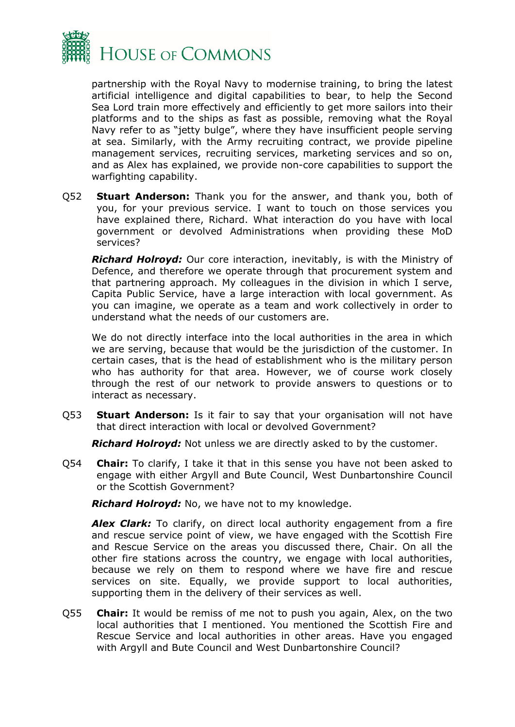

partnership with the Royal Navy to modernise training, to bring the latest artificial intelligence and digital capabilities to bear, to help the Second Sea Lord train more effectively and efficiently to get more sailors into their platforms and to the ships as fast as possible, removing what the Royal Navy refer to as "jetty bulge", where they have insufficient people serving at sea. Similarly, with the Army recruiting contract, we provide pipeline management services, recruiting services, marketing services and so on, and as Alex has explained, we provide non-core capabilities to support the warfighting capability.

Q52 **Stuart Anderson:** Thank you for the answer, and thank you, both of you, for your previous service. I want to touch on those services you have explained there, Richard. What interaction do you have with local government or devolved Administrations when providing these MoD services?

*Richard Holroyd:* Our core interaction, inevitably, is with the Ministry of Defence, and therefore we operate through that procurement system and that partnering approach. My colleagues in the division in which I serve, Capita Public Service, have a large interaction with local government. As you can imagine, we operate as a team and work collectively in order to understand what the needs of our customers are.

We do not directly interface into the local authorities in the area in which we are serving, because that would be the jurisdiction of the customer. In certain cases, that is the head of establishment who is the military person who has authority for that area. However, we of course work closely through the rest of our network to provide answers to questions or to interact as necessary.

Q53 **Stuart Anderson:** Is it fair to say that your organisation will not have that direct interaction with local or devolved Government?

*Richard Holroyd:* Not unless we are directly asked to by the customer.

Q54 **Chair:** To clarify, I take it that in this sense you have not been asked to engage with either Argyll and Bute Council, West Dunbartonshire Council or the Scottish Government?

*Richard Holroyd:* No, we have not to my knowledge.

**Alex Clark:** To clarify, on direct local authority engagement from a fire and rescue service point of view, we have engaged with the Scottish Fire and Rescue Service on the areas you discussed there, Chair. On all the other fire stations across the country, we engage with local authorities, because we rely on them to respond where we have fire and rescue services on site. Equally, we provide support to local authorities, supporting them in the delivery of their services as well.

Q55 **Chair:** It would be remiss of me not to push you again, Alex, on the two local authorities that I mentioned. You mentioned the Scottish Fire and Rescue Service and local authorities in other areas. Have you engaged with Argyll and Bute Council and West Dunbartonshire Council?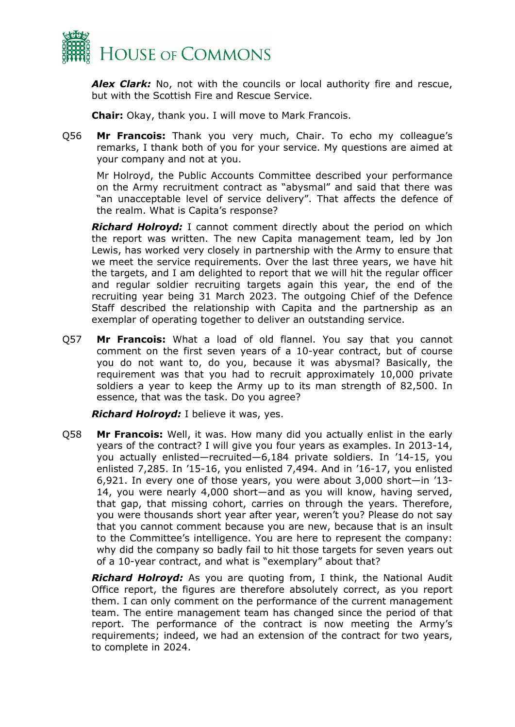

*Alex Clark:* No, not with the councils or local authority fire and rescue, but with the Scottish Fire and Rescue Service.

**Chair:** Okay, thank you. I will move to Mark Francois.

Q56 **Mr Francois:** Thank you very much, Chair. To echo my colleague's remarks, I thank both of you for your service. My questions are aimed at your company and not at you.

Mr Holroyd, the Public Accounts Committee described your performance on the Army recruitment contract as "abysmal" and said that there was "an unacceptable level of service delivery". That affects the defence of the realm. What is Capita's response?

*Richard Holroyd:* I cannot comment directly about the period on which the report was written. The new Capita management team, led by Jon Lewis, has worked very closely in partnership with the Army to ensure that we meet the service requirements. Over the last three years, we have hit the targets, and I am delighted to report that we will hit the regular officer and regular soldier recruiting targets again this year, the end of the recruiting year being 31 March 2023. The outgoing Chief of the Defence Staff described the relationship with Capita and the partnership as an exemplar of operating together to deliver an outstanding service.

Q57 **Mr Francois:** What a load of old flannel. You say that you cannot comment on the first seven years of a 10-year contract, but of course you do not want to, do you, because it was abysmal? Basically, the requirement was that you had to recruit approximately 10,000 private soldiers a year to keep the Army up to its man strength of 82,500. In essence, that was the task. Do you agree?

*Richard Holroyd:* I believe it was, yes.

Q58 **Mr Francois:** Well, it was. How many did you actually enlist in the early years of the contract? I will give you four years as examples. In 2013-14, you actually enlisted—recruited—6,184 private soldiers. In '14-15, you enlisted 7,285. In '15-16, you enlisted 7,494. And in '16-17, you enlisted 6,921. In every one of those years, you were about 3,000 short—in '13- 14, you were nearly 4,000 short—and as you will know, having served, that gap, that missing cohort, carries on through the years. Therefore, you were thousands short year after year, weren't you? Please do not say that you cannot comment because you are new, because that is an insult to the Committee's intelligence. You are here to represent the company: why did the company so badly fail to hit those targets for seven years out of a 10-year contract, and what is "exemplary" about that?

*Richard Holroyd:* As you are quoting from, I think, the National Audit Office report, the figures are therefore absolutely correct, as you report them. I can only comment on the performance of the current management team. The entire management team has changed since the period of that report. The performance of the contract is now meeting the Army's requirements; indeed, we had an extension of the contract for two years, to complete in 2024.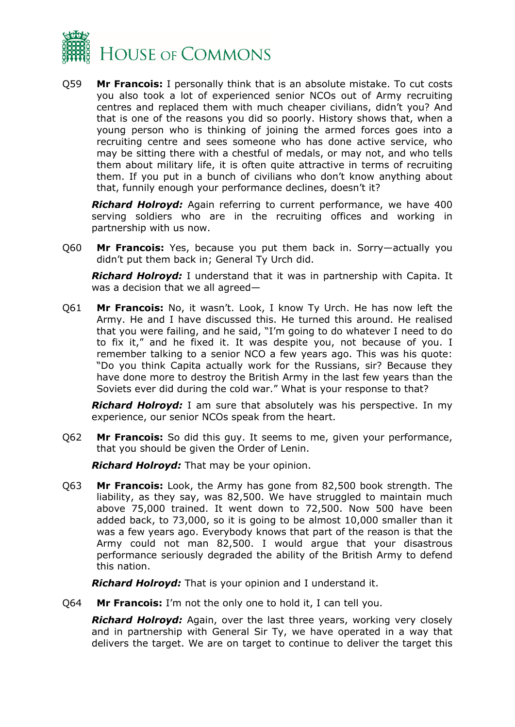

Q59 **Mr Francois:** I personally think that is an absolute mistake. To cut costs you also took a lot of experienced senior NCOs out of Army recruiting centres and replaced them with much cheaper civilians, didn't you? And that is one of the reasons you did so poorly. History shows that, when a young person who is thinking of joining the armed forces goes into a recruiting centre and sees someone who has done active service, who may be sitting there with a chestful of medals, or may not, and who tells them about military life, it is often quite attractive in terms of recruiting them. If you put in a bunch of civilians who don't know anything about that, funnily enough your performance declines, doesn't it?

*Richard Holroyd:* Again referring to current performance, we have 400 serving soldiers who are in the recruiting offices and working in partnership with us now.

Q60 **Mr Francois:** Yes, because you put them back in. Sorry—actually you didn't put them back in; General Ty Urch did.

*Richard Holroyd:* I understand that it was in partnership with Capita. It was a decision that we all agreed—

Q61 **Mr Francois:** No, it wasn't. Look, I know Ty Urch. He has now left the Army. He and I have discussed this. He turned this around. He realised that you were failing, and he said, "I'm going to do whatever I need to do to fix it," and he fixed it. It was despite you, not because of you. I remember talking to a senior NCO a few years ago. This was his quote: "Do you think Capita actually work for the Russians, sir? Because they have done more to destroy the British Army in the last few years than the Soviets ever did during the cold war." What is your response to that?

*Richard Holroyd:* I am sure that absolutely was his perspective. In my experience, our senior NCOs speak from the heart.

Q62 **Mr Francois:** So did this guy. It seems to me, given your performance, that you should be given the Order of Lenin.

*Richard Holroyd:* That may be your opinion.

Q63 **Mr Francois:** Look, the Army has gone from 82,500 book strength. The liability, as they say, was 82,500. We have struggled to maintain much above 75,000 trained. It went down to 72,500. Now 500 have been added back, to 73,000, so it is going to be almost 10,000 smaller than it was a few years ago. Everybody knows that part of the reason is that the Army could not man 82,500. I would argue that your disastrous performance seriously degraded the ability of the British Army to defend this nation.

*Richard Holroyd:* That is your opinion and I understand it.

Q64 **Mr Francois:** I'm not the only one to hold it, I can tell you.

*Richard Holroyd:* Again, over the last three years, working very closely and in partnership with General Sir Ty, we have operated in a way that delivers the target. We are on target to continue to deliver the target this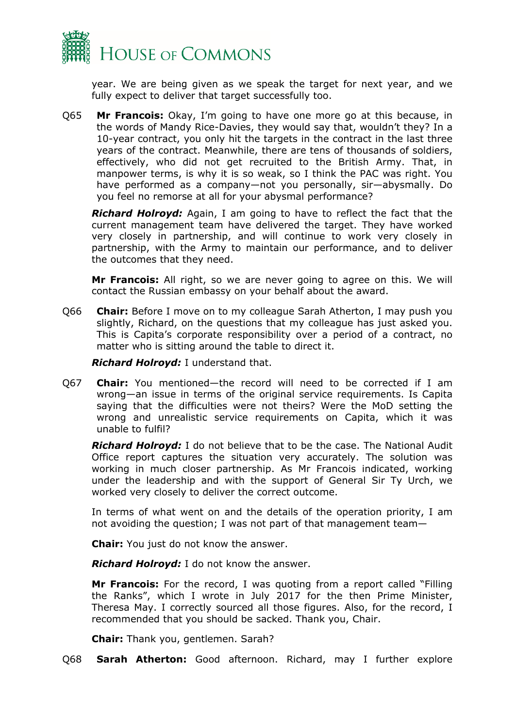

year. We are being given as we speak the target for next year, and we fully expect to deliver that target successfully too.

Q65 **Mr Francois:** Okay, I'm going to have one more go at this because, in the words of Mandy Rice-Davies, they would say that, wouldn't they? In a 10-year contract, you only hit the targets in the contract in the last three years of the contract. Meanwhile, there are tens of thousands of soldiers, effectively, who did not get recruited to the British Army. That, in manpower terms, is why it is so weak, so I think the PAC was right. You have performed as a company—not you personally, sir—abysmally. Do you feel no remorse at all for your abysmal performance?

*Richard Holroyd:* Again, I am going to have to reflect the fact that the current management team have delivered the target. They have worked very closely in partnership, and will continue to work very closely in partnership, with the Army to maintain our performance, and to deliver the outcomes that they need.

**Mr Francois:** All right, so we are never going to agree on this. We will contact the Russian embassy on your behalf about the award.

Q66 **Chair:** Before I move on to my colleague Sarah Atherton, I may push you slightly, Richard, on the questions that my colleague has just asked you. This is Capita's corporate responsibility over a period of a contract, no matter who is sitting around the table to direct it.

*Richard Holroyd:* I understand that.

Q67 **Chair:** You mentioned—the record will need to be corrected if I am wrong—an issue in terms of the original service requirements. Is Capita saying that the difficulties were not theirs? Were the MoD setting the wrong and unrealistic service requirements on Capita, which it was unable to fulfil?

*Richard Holroyd:* I do not believe that to be the case. The National Audit Office report captures the situation very accurately. The solution was working in much closer partnership. As Mr Francois indicated, working under the leadership and with the support of General Sir Ty Urch, we worked very closely to deliver the correct outcome.

In terms of what went on and the details of the operation priority, I am not avoiding the question; I was not part of that management team—

**Chair:** You just do not know the answer.

*Richard Holroyd:* I do not know the answer.

**Mr Francois:** For the record, I was quoting from a report called "Filling the Ranks", which I wrote in July 2017 for the then Prime Minister, Theresa May. I correctly sourced all those figures. Also, for the record, I recommended that you should be sacked. Thank you, Chair.

**Chair:** Thank you, gentlemen. Sarah?

Q68 **Sarah Atherton:** Good afternoon. Richard, may I further explore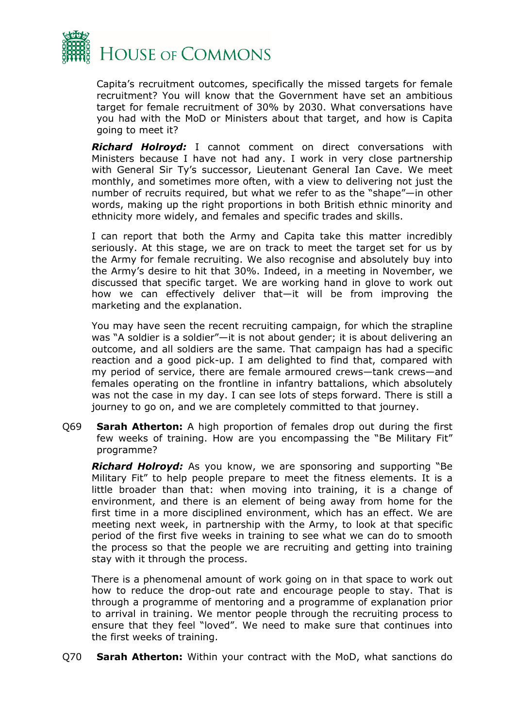

Capita's recruitment outcomes, specifically the missed targets for female recruitment? You will know that the Government have set an ambitious target for female recruitment of 30% by 2030. What conversations have you had with the MoD or Ministers about that target, and how is Capita going to meet it?

*Richard Holroyd:* I cannot comment on direct conversations with Ministers because I have not had any. I work in very close partnership with General Sir Ty's successor, Lieutenant General Ian Cave. We meet monthly, and sometimes more often, with a view to delivering not just the number of recruits required, but what we refer to as the "shape"—in other words, making up the right proportions in both British ethnic minority and ethnicity more widely, and females and specific trades and skills.

I can report that both the Army and Capita take this matter incredibly seriously. At this stage, we are on track to meet the target set for us by the Army for female recruiting. We also recognise and absolutely buy into the Army's desire to hit that 30%. Indeed, in a meeting in November, we discussed that specific target. We are working hand in glove to work out how we can effectively deliver that—it will be from improving the marketing and the explanation.

You may have seen the recent recruiting campaign, for which the strapline was "A soldier is a soldier"—it is not about gender; it is about delivering an outcome, and all soldiers are the same. That campaign has had a specific reaction and a good pick-up. I am delighted to find that, compared with my period of service, there are female armoured crews—tank crews—and females operating on the frontline in infantry battalions, which absolutely was not the case in my day. I can see lots of steps forward. There is still a journey to go on, and we are completely committed to that journey.

Q69 **Sarah Atherton:** A high proportion of females drop out during the first few weeks of training. How are you encompassing the "Be Military Fit" programme?

*Richard Holroyd:* As you know, we are sponsoring and supporting "Be Military Fit" to help people prepare to meet the fitness elements. It is a little broader than that: when moving into training, it is a change of environment, and there is an element of being away from home for the first time in a more disciplined environment, which has an effect. We are meeting next week, in partnership with the Army, to look at that specific period of the first five weeks in training to see what we can do to smooth the process so that the people we are recruiting and getting into training stay with it through the process.

There is a phenomenal amount of work going on in that space to work out how to reduce the drop-out rate and encourage people to stay. That is through a programme of mentoring and a programme of explanation prior to arrival in training. We mentor people through the recruiting process to ensure that they feel "loved". We need to make sure that continues into the first weeks of training.

Q70 **Sarah Atherton:** Within your contract with the MoD, what sanctions do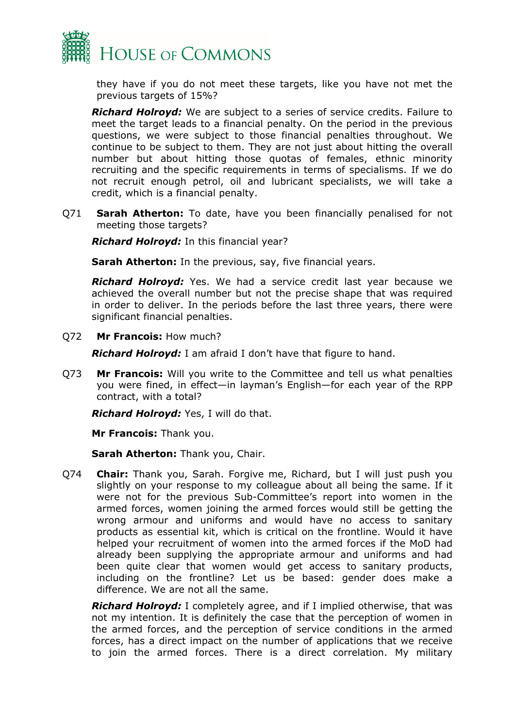

they have if you do not meet these targets, like you have not met the previous targets of 15%?

*Richard Holroyd:* We are subject to a series of service credits. Failure to meet the target leads to a financial penalty. On the period in the previous questions, we were subject to those financial penalties throughout. We continue to be subject to them. They are not just about hitting the overall number but about hitting those quotas of females, ethnic minority recruiting and the specific requirements in terms of specialisms. If we do not recruit enough petrol, oil and lubricant specialists, we will take a credit, which is a financial penalty.

Q71 **Sarah Atherton:** To date, have you been financially penalised for not meeting those targets?

*Richard Holroyd:* In this financial year?

**Sarah Atherton:** In the previous, say, five financial years.

*Richard Holroyd:* Yes. We had a service credit last year because we achieved the overall number but not the precise shape that was required in order to deliver. In the periods before the last three years, there were significant financial penalties.

Q72 **Mr Francois:** How much?

*Richard Holroyd:* I am afraid I don't have that figure to hand.

Q73 **Mr Francois:** Will you write to the Committee and tell us what penalties you were fined, in effect—in layman's English—for each year of the RPP contract, with a total?

*Richard Holroyd:* Yes, I will do that.

**Mr Francois:** Thank you.

**Sarah Atherton:** Thank you, Chair.

Q74 **Chair:** Thank you, Sarah. Forgive me, Richard, but I will just push you slightly on your response to my colleague about all being the same. If it were not for the previous Sub-Committee's report into women in the armed forces, women joining the armed forces would still be getting the wrong armour and uniforms and would have no access to sanitary products as essential kit, which is critical on the frontline. Would it have helped your recruitment of women into the armed forces if the MoD had already been supplying the appropriate armour and uniforms and had been quite clear that women would get access to sanitary products, including on the frontline? Let us be based: gender does make a difference. We are not all the same.

*Richard Holroyd:* I completely agree, and if I implied otherwise, that was not my intention. It is definitely the case that the perception of women in the armed forces, and the perception of service conditions in the armed forces, has a direct impact on the number of applications that we receive to join the armed forces. There is a direct correlation. My military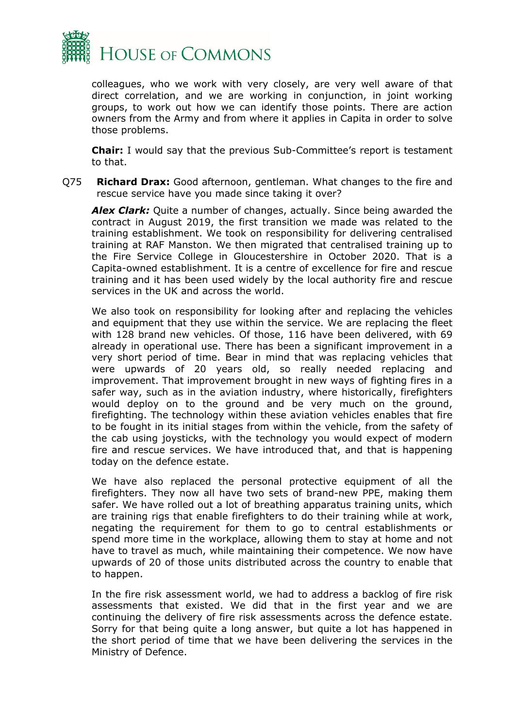

colleagues, who we work with very closely, are very well aware of that direct correlation, and we are working in conjunction, in joint working groups, to work out how we can identify those points. There are action owners from the Army and from where it applies in Capita in order to solve those problems.

**Chair:** I would say that the previous Sub-Committee's report is testament to that.

Q75 **Richard Drax:** Good afternoon, gentleman. What changes to the fire and rescue service have you made since taking it over?

*Alex Clark:* Quite a number of changes, actually. Since being awarded the contract in August 2019, the first transition we made was related to the training establishment. We took on responsibility for delivering centralised training at RAF Manston. We then migrated that centralised training up to the Fire Service College in Gloucestershire in October 2020. That is a Capita-owned establishment. It is a centre of excellence for fire and rescue training and it has been used widely by the local authority fire and rescue services in the UK and across the world.

We also took on responsibility for looking after and replacing the vehicles and equipment that they use within the service. We are replacing the fleet with 128 brand new vehicles. Of those, 116 have been delivered, with 69 already in operational use. There has been a significant improvement in a very short period of time. Bear in mind that was replacing vehicles that were upwards of 20 years old, so really needed replacing and improvement. That improvement brought in new ways of fighting fires in a safer way, such as in the aviation industry, where historically, firefighters would deploy on to the ground and be very much on the ground, firefighting. The technology within these aviation vehicles enables that fire to be fought in its initial stages from within the vehicle, from the safety of the cab using joysticks, with the technology you would expect of modern fire and rescue services. We have introduced that, and that is happening today on the defence estate.

We have also replaced the personal protective equipment of all the firefighters. They now all have two sets of brand-new PPE, making them safer. We have rolled out a lot of breathing apparatus training units, which are training rigs that enable firefighters to do their training while at work, negating the requirement for them to go to central establishments or spend more time in the workplace, allowing them to stay at home and not have to travel as much, while maintaining their competence. We now have upwards of 20 of those units distributed across the country to enable that to happen.

In the fire risk assessment world, we had to address a backlog of fire risk assessments that existed. We did that in the first year and we are continuing the delivery of fire risk assessments across the defence estate. Sorry for that being quite a long answer, but quite a lot has happened in the short period of time that we have been delivering the services in the Ministry of Defence.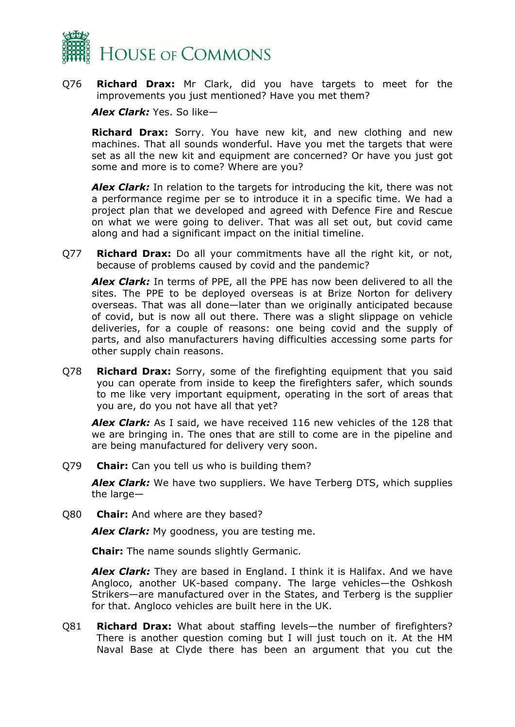

Q76 **Richard Drax:** Mr Clark, did you have targets to meet for the improvements you just mentioned? Have you met them?

*Alex Clark:* Yes. So like—

**Richard Drax:** Sorry. You have new kit, and new clothing and new machines. That all sounds wonderful. Have you met the targets that were set as all the new kit and equipment are concerned? Or have you just got some and more is to come? Where are you?

*Alex Clark:* In relation to the targets for introducing the kit, there was not a performance regime per se to introduce it in a specific time. We had a project plan that we developed and agreed with Defence Fire and Rescue on what we were going to deliver. That was all set out, but covid came along and had a significant impact on the initial timeline.

Q77 **Richard Drax:** Do all your commitments have all the right kit, or not, because of problems caused by covid and the pandemic?

*Alex Clark:* In terms of PPE, all the PPE has now been delivered to all the sites. The PPE to be deployed overseas is at Brize Norton for delivery overseas. That was all done—later than we originally anticipated because of covid, but is now all out there. There was a slight slippage on vehicle deliveries, for a couple of reasons: one being covid and the supply of parts, and also manufacturers having difficulties accessing some parts for other supply chain reasons.

Q78 **Richard Drax:** Sorry, some of the firefighting equipment that you said you can operate from inside to keep the firefighters safer, which sounds to me like very important equipment, operating in the sort of areas that you are, do you not have all that yet?

*Alex Clark:* As I said, we have received 116 new vehicles of the 128 that we are bringing in. The ones that are still to come are in the pipeline and are being manufactured for delivery very soon.

Q79 **Chair:** Can you tell us who is building them?

*Alex Clark:* We have two suppliers. We have Terberg DTS, which supplies the large—

Q80 **Chair:** And where are they based?

*Alex Clark:* My goodness, you are testing me.

**Chair:** The name sounds slightly Germanic.

*Alex Clark:* They are based in England. I think it is Halifax. And we have Angloco, another UK-based company. The large vehicles—the Oshkosh Strikers—are manufactured over in the States, and Terberg is the supplier for that. Angloco vehicles are built here in the UK.

Q81 **Richard Drax:** What about staffing levels—the number of firefighters? There is another question coming but I will just touch on it. At the HM Naval Base at Clyde there has been an argument that you cut the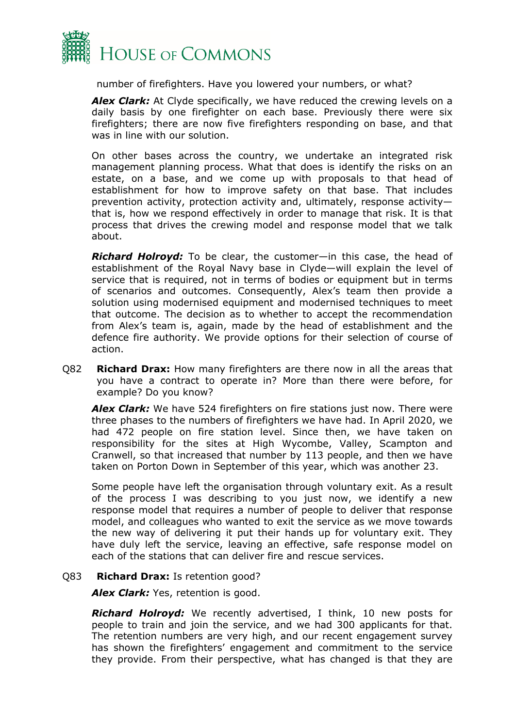

number of firefighters. Have you lowered your numbers, or what?

*Alex Clark:* At Clyde specifically, we have reduced the crewing levels on a daily basis by one firefighter on each base. Previously there were six firefighters; there are now five firefighters responding on base, and that was in line with our solution.

On other bases across the country, we undertake an integrated risk management planning process. What that does is identify the risks on an estate, on a base, and we come up with proposals to that head of establishment for how to improve safety on that base. That includes prevention activity, protection activity and, ultimately, response activity that is, how we respond effectively in order to manage that risk. It is that process that drives the crewing model and response model that we talk about.

*Richard Holroyd:* To be clear, the customer—in this case, the head of establishment of the Royal Navy base in Clyde—will explain the level of service that is required, not in terms of bodies or equipment but in terms of scenarios and outcomes. Consequently, Alex's team then provide a solution using modernised equipment and modernised techniques to meet that outcome. The decision as to whether to accept the recommendation from Alex's team is, again, made by the head of establishment and the defence fire authority. We provide options for their selection of course of action.

Q82 **Richard Drax:** How many firefighters are there now in all the areas that you have a contract to operate in? More than there were before, for example? Do you know?

*Alex Clark:* We have 524 firefighters on fire stations just now. There were three phases to the numbers of firefighters we have had. In April 2020, we had 472 people on fire station level. Since then, we have taken on responsibility for the sites at High Wycombe, Valley, Scampton and Cranwell, so that increased that number by 113 people, and then we have taken on Porton Down in September of this year, which was another 23.

Some people have left the organisation through voluntary exit. As a result of the process I was describing to you just now, we identify a new response model that requires a number of people to deliver that response model, and colleagues who wanted to exit the service as we move towards the new way of delivering it put their hands up for voluntary exit. They have duly left the service, leaving an effective, safe response model on each of the stations that can deliver fire and rescue services.

#### Q83 **Richard Drax:** Is retention good?

*Alex Clark:* Yes, retention is good.

*Richard Holroyd:* We recently advertised, I think, 10 new posts for people to train and join the service, and we had 300 applicants for that. The retention numbers are very high, and our recent engagement survey has shown the firefighters' engagement and commitment to the service they provide. From their perspective, what has changed is that they are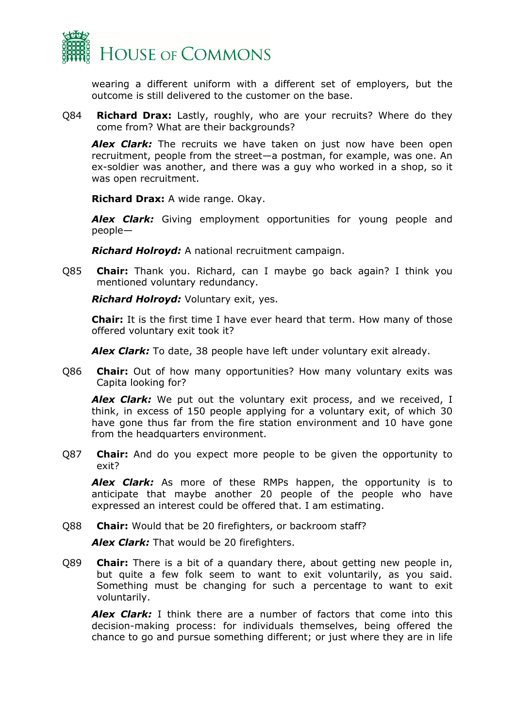

wearing a different uniform with a different set of employers, but the outcome is still delivered to the customer on the base.

Q84 **Richard Drax:** Lastly, roughly, who are your recruits? Where do they come from? What are their backgrounds?

*Alex Clark:* The recruits we have taken on just now have been open recruitment, people from the street—a postman, for example, was one. An ex-soldier was another, and there was a guy who worked in a shop, so it was open recruitment.

**Richard Drax:** A wide range. Okay.

*Alex Clark:* Giving employment opportunities for young people and people—

*Richard Holroyd:* A national recruitment campaign.

Q85 **Chair:** Thank you. Richard, can I maybe go back again? I think you mentioned voluntary redundancy.

*Richard Holroyd:* Voluntary exit, yes.

**Chair:** It is the first time I have ever heard that term. How many of those offered voluntary exit took it?

*Alex Clark:* To date, 38 people have left under voluntary exit already.

Q86 **Chair:** Out of how many opportunities? How many voluntary exits was Capita looking for?

*Alex Clark:* We put out the voluntary exit process, and we received, I think, in excess of 150 people applying for a voluntary exit, of which 30 have gone thus far from the fire station environment and 10 have gone from the headquarters environment.

Q87 **Chair:** And do you expect more people to be given the opportunity to exit?

*Alex Clark:* As more of these RMPs happen, the opportunity is to anticipate that maybe another 20 people of the people who have expressed an interest could be offered that. I am estimating.

Q88 **Chair:** Would that be 20 firefighters, or backroom staff?

*Alex Clark:* That would be 20 firefighters.

Q89 **Chair:** There is a bit of a quandary there, about getting new people in, but quite a few folk seem to want to exit voluntarily, as you said. Something must be changing for such a percentage to want to exit voluntarily.

*Alex Clark:* I think there are a number of factors that come into this decision-making process: for individuals themselves, being offered the chance to go and pursue something different; or just where they are in life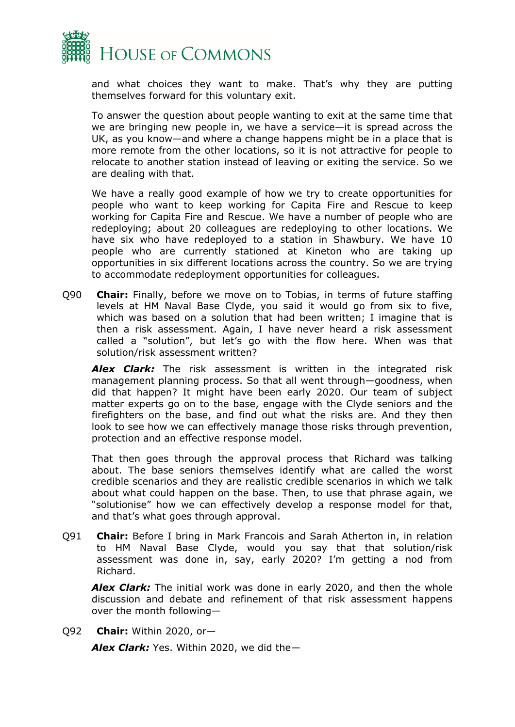

and what choices they want to make. That's why they are putting themselves forward for this voluntary exit.

To answer the question about people wanting to exit at the same time that we are bringing new people in, we have a service—it is spread across the UK, as you know—and where a change happens might be in a place that is more remote from the other locations, so it is not attractive for people to relocate to another station instead of leaving or exiting the service. So we are dealing with that.

We have a really good example of how we try to create opportunities for people who want to keep working for Capita Fire and Rescue to keep working for Capita Fire and Rescue. We have a number of people who are redeploying; about 20 colleagues are redeploying to other locations. We have six who have redeployed to a station in Shawbury. We have 10 people who are currently stationed at Kineton who are taking up opportunities in six different locations across the country. So we are trying to accommodate redeployment opportunities for colleagues.

Q90 **Chair:** Finally, before we move on to Tobias, in terms of future staffing levels at HM Naval Base Clyde, you said it would go from six to five, which was based on a solution that had been written; I imagine that is then a risk assessment. Again, I have never heard a risk assessment called a "solution", but let's go with the flow here. When was that solution/risk assessment written?

*Alex Clark:* The risk assessment is written in the integrated risk management planning process. So that all went through—goodness, when did that happen? It might have been early 2020. Our team of subject matter experts go on to the base, engage with the Clyde seniors and the firefighters on the base, and find out what the risks are. And they then look to see how we can effectively manage those risks through prevention, protection and an effective response model.

That then goes through the approval process that Richard was talking about. The base seniors themselves identify what are called the worst credible scenarios and they are realistic credible scenarios in which we talk about what could happen on the base. Then, to use that phrase again, we "solutionise" how we can effectively develop a response model for that, and that's what goes through approval.

Q91 **Chair:** Before I bring in Mark Francois and Sarah Atherton in, in relation to HM Naval Base Clyde, would you say that that solution/risk assessment was done in, say, early 2020? I'm getting a nod from Richard.

*Alex Clark:* The initial work was done in early 2020, and then the whole discussion and debate and refinement of that risk assessment happens over the month following—

Q92 **Chair:** Within 2020, or—

*Alex Clark:* Yes. Within 2020, we did the—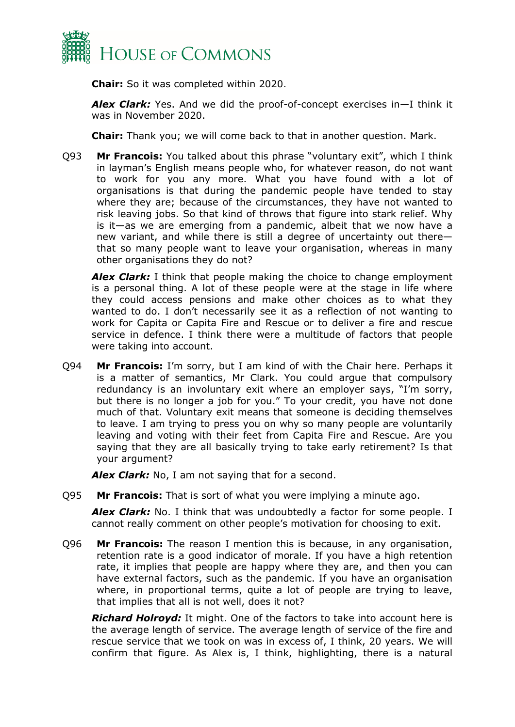

**Chair:** So it was completed within 2020.

*Alex Clark:* Yes. And we did the proof-of-concept exercises in—I think it was in November 2020.

**Chair:** Thank you; we will come back to that in another question. Mark.

Q93 **Mr Francois:** You talked about this phrase "voluntary exit", which I think in layman's English means people who, for whatever reason, do not want to work for you any more. What you have found with a lot of organisations is that during the pandemic people have tended to stay where they are; because of the circumstances, they have not wanted to risk leaving jobs. So that kind of throws that figure into stark relief. Why is it—as we are emerging from a pandemic, albeit that we now have a new variant, and while there is still a degree of uncertainty out there that so many people want to leave your organisation, whereas in many other organisations they do not?

*Alex Clark:* I think that people making the choice to change employment is a personal thing. A lot of these people were at the stage in life where they could access pensions and make other choices as to what they wanted to do. I don't necessarily see it as a reflection of not wanting to work for Capita or Capita Fire and Rescue or to deliver a fire and rescue service in defence. I think there were a multitude of factors that people were taking into account.

Q94 **Mr Francois:** I'm sorry, but I am kind of with the Chair here. Perhaps it is a matter of semantics, Mr Clark. You could argue that compulsory redundancy is an involuntary exit where an employer says, "I'm sorry, but there is no longer a job for you." To your credit, you have not done much of that. Voluntary exit means that someone is deciding themselves to leave. I am trying to press you on why so many people are voluntarily leaving and voting with their feet from Capita Fire and Rescue. Are you saying that they are all basically trying to take early retirement? Is that your argument?

*Alex Clark:* No, I am not saying that for a second.

Q95 **Mr Francois:** That is sort of what you were implying a minute ago.

**Alex Clark:** No. I think that was undoubtedly a factor for some people. I cannot really comment on other people's motivation for choosing to exit.

Q96 **Mr Francois:** The reason I mention this is because, in any organisation, retention rate is a good indicator of morale. If you have a high retention rate, it implies that people are happy where they are, and then you can have external factors, such as the pandemic. If you have an organisation where, in proportional terms, quite a lot of people are trying to leave, that implies that all is not well, does it not?

*Richard Holroyd:* It might. One of the factors to take into account here is the average length of service. The average length of service of the fire and rescue service that we took on was in excess of, I think, 20 years. We will confirm that figure. As Alex is, I think, highlighting, there is a natural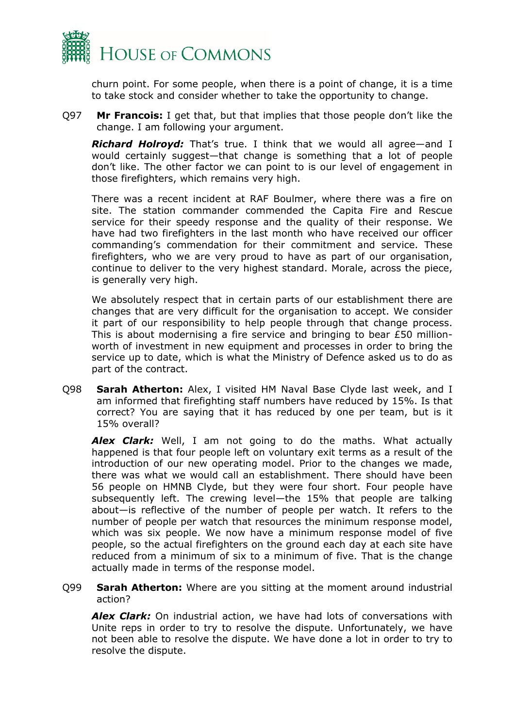

churn point. For some people, when there is a point of change, it is a time to take stock and consider whether to take the opportunity to change.

Q97 **Mr Francois:** I get that, but that implies that those people don't like the change. I am following your argument.

*Richard Holroyd:* That's true. I think that we would all agree—and I would certainly suggest—that change is something that a lot of people don't like. The other factor we can point to is our level of engagement in those firefighters, which remains very high.

There was a recent incident at RAF Boulmer, where there was a fire on site. The station commander commended the Capita Fire and Rescue service for their speedy response and the quality of their response. We have had two firefighters in the last month who have received our officer commanding's commendation for their commitment and service. These firefighters, who we are very proud to have as part of our organisation, continue to deliver to the very highest standard. Morale, across the piece, is generally very high.

We absolutely respect that in certain parts of our establishment there are changes that are very difficult for the organisation to accept. We consider it part of our responsibility to help people through that change process. This is about modernising a fire service and bringing to bear £50 millionworth of investment in new equipment and processes in order to bring the service up to date, which is what the Ministry of Defence asked us to do as part of the contract.

Q98 **Sarah Atherton:** Alex, I visited HM Naval Base Clyde last week, and I am informed that firefighting staff numbers have reduced by 15%. Is that correct? You are saying that it has reduced by one per team, but is it 15% overall?

*Alex Clark:* Well, I am not going to do the maths. What actually happened is that four people left on voluntary exit terms as a result of the introduction of our new operating model. Prior to the changes we made, there was what we would call an establishment. There should have been 56 people on HMNB Clyde, but they were four short. Four people have subsequently left. The crewing level—the 15% that people are talking about—is reflective of the number of people per watch. It refers to the number of people per watch that resources the minimum response model, which was six people. We now have a minimum response model of five people, so the actual firefighters on the ground each day at each site have reduced from a minimum of six to a minimum of five. That is the change actually made in terms of the response model.

Q99 **Sarah Atherton:** Where are you sitting at the moment around industrial action?

*Alex Clark:* On industrial action, we have had lots of conversations with Unite reps in order to try to resolve the dispute. Unfortunately, we have not been able to resolve the dispute. We have done a lot in order to try to resolve the dispute.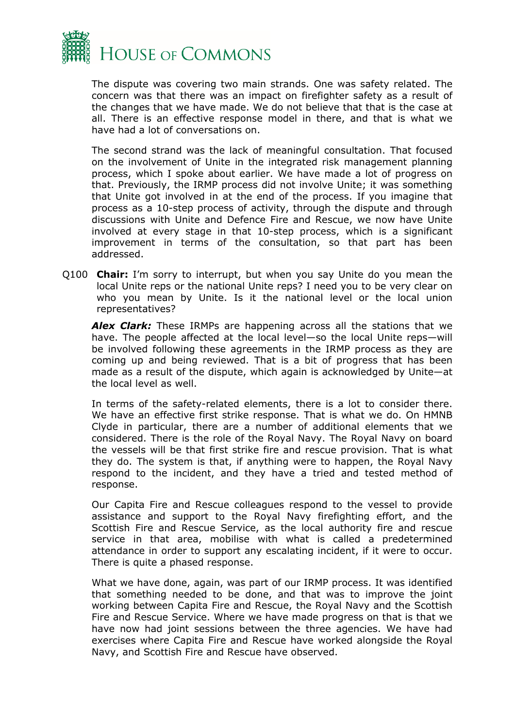

The dispute was covering two main strands. One was safety related. The concern was that there was an impact on firefighter safety as a result of the changes that we have made. We do not believe that that is the case at all. There is an effective response model in there, and that is what we have had a lot of conversations on.

The second strand was the lack of meaningful consultation. That focused on the involvement of Unite in the integrated risk management planning process, which I spoke about earlier. We have made a lot of progress on that. Previously, the IRMP process did not involve Unite; it was something that Unite got involved in at the end of the process. If you imagine that process as a 10-step process of activity, through the dispute and through discussions with Unite and Defence Fire and Rescue, we now have Unite involved at every stage in that 10-step process, which is a significant improvement in terms of the consultation, so that part has been addressed.

Q100 **Chair:** I'm sorry to interrupt, but when you say Unite do you mean the local Unite reps or the national Unite reps? I need you to be very clear on who you mean by Unite. Is it the national level or the local union representatives?

*Alex Clark:* These IRMPs are happening across all the stations that we have. The people affected at the local level—so the local Unite reps—will be involved following these agreements in the IRMP process as they are coming up and being reviewed. That is a bit of progress that has been made as a result of the dispute, which again is acknowledged by Unite—at the local level as well.

In terms of the safety-related elements, there is a lot to consider there. We have an effective first strike response. That is what we do. On HMNB Clyde in particular, there are a number of additional elements that we considered. There is the role of the Royal Navy. The Royal Navy on board the vessels will be that first strike fire and rescue provision. That is what they do. The system is that, if anything were to happen, the Royal Navy respond to the incident, and they have a tried and tested method of response.

Our Capita Fire and Rescue colleagues respond to the vessel to provide assistance and support to the Royal Navy firefighting effort, and the Scottish Fire and Rescue Service, as the local authority fire and rescue service in that area, mobilise with what is called a predetermined attendance in order to support any escalating incident, if it were to occur. There is quite a phased response.

What we have done, again, was part of our IRMP process. It was identified that something needed to be done, and that was to improve the joint working between Capita Fire and Rescue, the Royal Navy and the Scottish Fire and Rescue Service. Where we have made progress on that is that we have now had joint sessions between the three agencies. We have had exercises where Capita Fire and Rescue have worked alongside the Royal Navy, and Scottish Fire and Rescue have observed.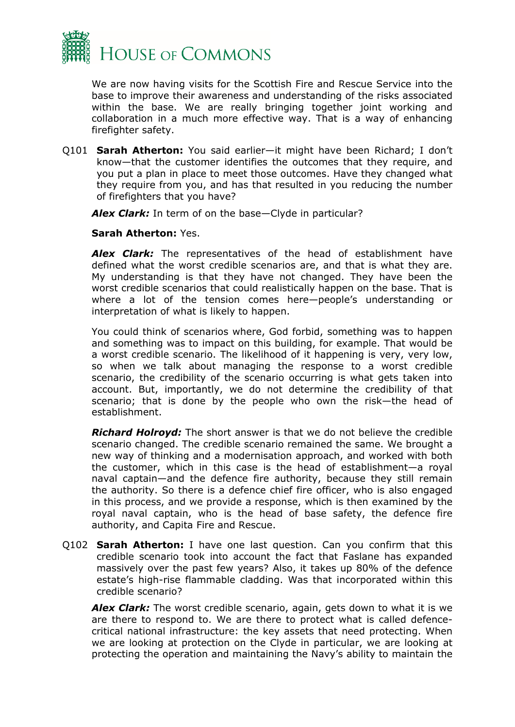

We are now having visits for the Scottish Fire and Rescue Service into the base to improve their awareness and understanding of the risks associated within the base. We are really bringing together joint working and collaboration in a much more effective way. That is a way of enhancing firefighter safety.

Q101 **Sarah Atherton:** You said earlier—it might have been Richard; I don't know—that the customer identifies the outcomes that they require, and you put a plan in place to meet those outcomes. Have they changed what they require from you, and has that resulted in you reducing the number of firefighters that you have?

*Alex Clark:* In term of on the base—Clyde in particular?

#### **Sarah Atherton:** Yes.

*Alex Clark:* The representatives of the head of establishment have defined what the worst credible scenarios are, and that is what they are. My understanding is that they have not changed. They have been the worst credible scenarios that could realistically happen on the base. That is where a lot of the tension comes here—people's understanding or interpretation of what is likely to happen.

You could think of scenarios where, God forbid, something was to happen and something was to impact on this building, for example. That would be a worst credible scenario. The likelihood of it happening is very, very low, so when we talk about managing the response to a worst credible scenario, the credibility of the scenario occurring is what gets taken into account. But, importantly, we do not determine the credibility of that scenario; that is done by the people who own the risk—the head of establishment.

*Richard Holroyd:* The short answer is that we do not believe the credible scenario changed. The credible scenario remained the same. We brought a new way of thinking and a modernisation approach, and worked with both the customer, which in this case is the head of establishment—a royal naval captain—and the defence fire authority, because they still remain the authority. So there is a defence chief fire officer, who is also engaged in this process, and we provide a response, which is then examined by the royal naval captain, who is the head of base safety, the defence fire authority, and Capita Fire and Rescue.

Q102 **Sarah Atherton:** I have one last question. Can you confirm that this credible scenario took into account the fact that Faslane has expanded massively over the past few years? Also, it takes up 80% of the defence estate's high-rise flammable cladding. Was that incorporated within this credible scenario?

*Alex Clark:* The worst credible scenario, again, gets down to what it is we are there to respond to. We are there to protect what is called defencecritical national infrastructure: the key assets that need protecting. When we are looking at protection on the Clyde in particular, we are looking at protecting the operation and maintaining the Navy's ability to maintain the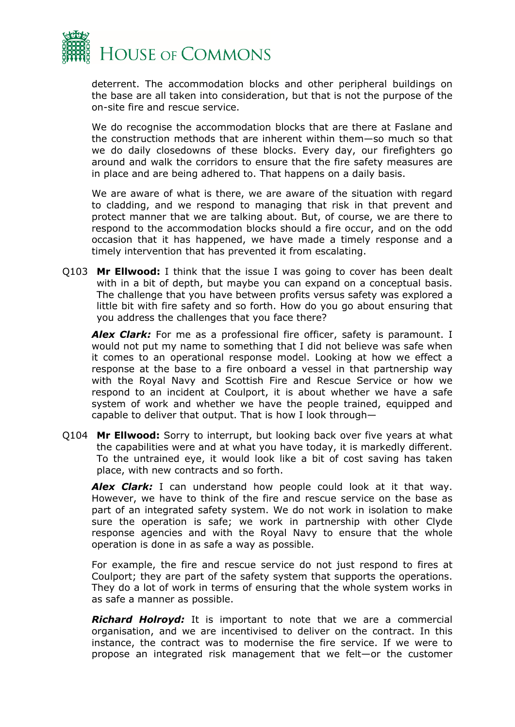

deterrent. The accommodation blocks and other peripheral buildings on the base are all taken into consideration, but that is not the purpose of the on-site fire and rescue service.

We do recognise the accommodation blocks that are there at Faslane and the construction methods that are inherent within them—so much so that we do daily closedowns of these blocks. Every day, our firefighters go around and walk the corridors to ensure that the fire safety measures are in place and are being adhered to. That happens on a daily basis.

We are aware of what is there, we are aware of the situation with regard to cladding, and we respond to managing that risk in that prevent and protect manner that we are talking about. But, of course, we are there to respond to the accommodation blocks should a fire occur, and on the odd occasion that it has happened, we have made a timely response and a timely intervention that has prevented it from escalating.

Q103 **Mr Ellwood:** I think that the issue I was going to cover has been dealt with in a bit of depth, but maybe you can expand on a conceptual basis. The challenge that you have between profits versus safety was explored a little bit with fire safety and so forth. How do you go about ensuring that you address the challenges that you face there?

**Alex Clark:** For me as a professional fire officer, safety is paramount. I would not put my name to something that I did not believe was safe when it comes to an operational response model. Looking at how we effect a response at the base to a fire onboard a vessel in that partnership way with the Royal Navy and Scottish Fire and Rescue Service or how we respond to an incident at Coulport, it is about whether we have a safe system of work and whether we have the people trained, equipped and capable to deliver that output. That is how I look through—

Q104 **Mr Ellwood:** Sorry to interrupt, but looking back over five years at what the capabilities were and at what you have today, it is markedly different. To the untrained eye, it would look like a bit of cost saving has taken place, with new contracts and so forth.

*Alex Clark:* I can understand how people could look at it that way. However, we have to think of the fire and rescue service on the base as part of an integrated safety system. We do not work in isolation to make sure the operation is safe; we work in partnership with other Clyde response agencies and with the Royal Navy to ensure that the whole operation is done in as safe a way as possible.

For example, the fire and rescue service do not just respond to fires at Coulport; they are part of the safety system that supports the operations. They do a lot of work in terms of ensuring that the whole system works in as safe a manner as possible.

*Richard Holroyd:* It is important to note that we are a commercial organisation, and we are incentivised to deliver on the contract. In this instance, the contract was to modernise the fire service. If we were to propose an integrated risk management that we felt—or the customer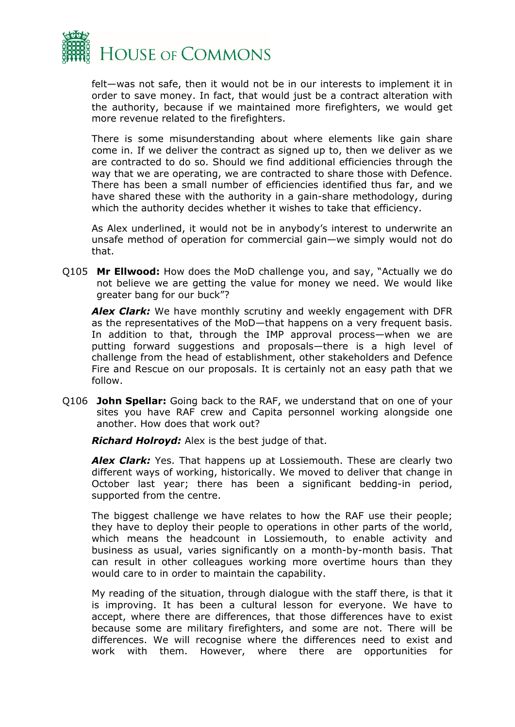

felt—was not safe, then it would not be in our interests to implement it in order to save money. In fact, that would just be a contract alteration with the authority, because if we maintained more firefighters, we would get more revenue related to the firefighters.

There is some misunderstanding about where elements like gain share come in. If we deliver the contract as signed up to, then we deliver as we are contracted to do so. Should we find additional efficiencies through the way that we are operating, we are contracted to share those with Defence. There has been a small number of efficiencies identified thus far, and we have shared these with the authority in a gain-share methodology, during which the authority decides whether it wishes to take that efficiency.

As Alex underlined, it would not be in anybody's interest to underwrite an unsafe method of operation for commercial gain—we simply would not do that.

Q105 **Mr Ellwood:** How does the MoD challenge you, and say, "Actually we do not believe we are getting the value for money we need. We would like greater bang for our buck"?

*Alex Clark:* We have monthly scrutiny and weekly engagement with DFR as the representatives of the MoD—that happens on a very frequent basis. In addition to that, through the IMP approval process—when we are putting forward suggestions and proposals—there is a high level of challenge from the head of establishment, other stakeholders and Defence Fire and Rescue on our proposals. It is certainly not an easy path that we follow.

Q106 **John Spellar:** Going back to the RAF, we understand that on one of your sites you have RAF crew and Capita personnel working alongside one another. How does that work out?

*Richard Holroyd:* Alex is the best judge of that.

**Alex Clark:** Yes. That happens up at Lossiemouth. These are clearly two different ways of working, historically. We moved to deliver that change in October last year; there has been a significant bedding-in period, supported from the centre.

The biggest challenge we have relates to how the RAF use their people; they have to deploy their people to operations in other parts of the world, which means the headcount in Lossiemouth, to enable activity and business as usual, varies significantly on a month-by-month basis. That can result in other colleagues working more overtime hours than they would care to in order to maintain the capability.

My reading of the situation, through dialogue with the staff there, is that it is improving. It has been a cultural lesson for everyone. We have to accept, where there are differences, that those differences have to exist because some are military firefighters, and some are not. There will be differences. We will recognise where the differences need to exist and work with them. However, where there are opportunities for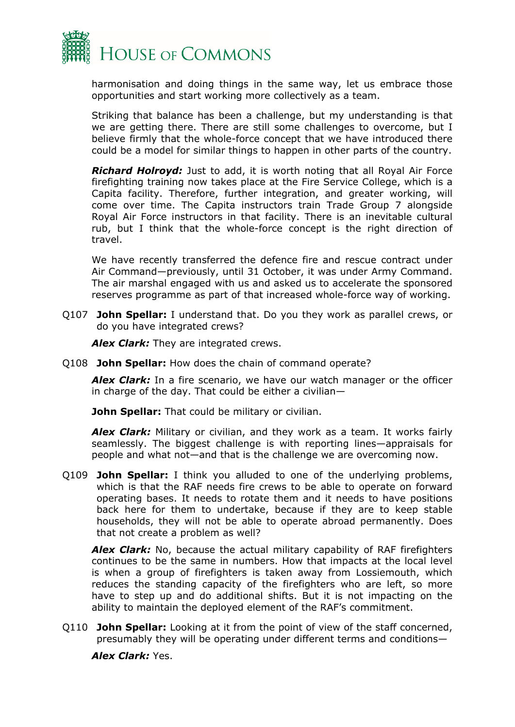

harmonisation and doing things in the same way, let us embrace those opportunities and start working more collectively as a team.

Striking that balance has been a challenge, but my understanding is that we are getting there. There are still some challenges to overcome, but I believe firmly that the whole-force concept that we have introduced there could be a model for similar things to happen in other parts of the country.

*Richard Holroyd:* Just to add, it is worth noting that all Royal Air Force firefighting training now takes place at the Fire Service College, which is a Capita facility. Therefore, further integration, and greater working, will come over time. The Capita instructors train Trade Group 7 alongside Royal Air Force instructors in that facility. There is an inevitable cultural rub, but I think that the whole-force concept is the right direction of travel.

We have recently transferred the defence fire and rescue contract under Air Command—previously, until 31 October, it was under Army Command. The air marshal engaged with us and asked us to accelerate the sponsored reserves programme as part of that increased whole-force way of working.

Q107 **John Spellar:** I understand that. Do you they work as parallel crews, or do you have integrated crews?

*Alex Clark:* They are integrated crews.

Q108 **John Spellar:** How does the chain of command operate?

*Alex Clark:* In a fire scenario, we have our watch manager or the officer in charge of the day. That could be either a civilian—

**John Spellar:** That could be military or civilian.

*Alex Clark:* Military or civilian, and they work as a team. It works fairly seamlessly. The biggest challenge is with reporting lines—appraisals for people and what not—and that is the challenge we are overcoming now.

Q109 **John Spellar:** I think you alluded to one of the underlying problems, which is that the RAF needs fire crews to be able to operate on forward operating bases. It needs to rotate them and it needs to have positions back here for them to undertake, because if they are to keep stable households, they will not be able to operate abroad permanently. Does that not create a problem as well?

*Alex Clark:* No, because the actual military capability of RAF firefighters continues to be the same in numbers. How that impacts at the local level is when a group of firefighters is taken away from Lossiemouth, which reduces the standing capacity of the firefighters who are left, so more have to step up and do additional shifts. But it is not impacting on the ability to maintain the deployed element of the RAF's commitment.

Q110 **John Spellar:** Looking at it from the point of view of the staff concerned, presumably they will be operating under different terms and conditions—

*Alex Clark:* Yes.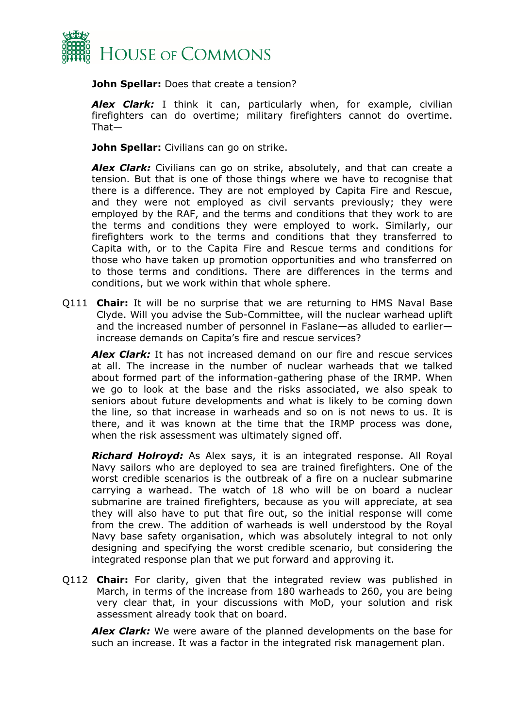

**John Spellar:** Does that create a tension?

*Alex Clark:* I think it can, particularly when, for example, civilian firefighters can do overtime; military firefighters cannot do overtime. That—

**John Spellar:** Civilians can go on strike.

*Alex Clark:* Civilians can go on strike, absolutely, and that can create a tension. But that is one of those things where we have to recognise that there is a difference. They are not employed by Capita Fire and Rescue, and they were not employed as civil servants previously; they were employed by the RAF, and the terms and conditions that they work to are the terms and conditions they were employed to work. Similarly, our firefighters work to the terms and conditions that they transferred to Capita with, or to the Capita Fire and Rescue terms and conditions for those who have taken up promotion opportunities and who transferred on to those terms and conditions. There are differences in the terms and conditions, but we work within that whole sphere.

Q111 **Chair:** It will be no surprise that we are returning to HMS Naval Base Clyde. Will you advise the Sub-Committee, will the nuclear warhead uplift and the increased number of personnel in Faslane—as alluded to earlier increase demands on Capita's fire and rescue services?

*Alex Clark:* It has not increased demand on our fire and rescue services at all. The increase in the number of nuclear warheads that we talked about formed part of the information-gathering phase of the IRMP. When we go to look at the base and the risks associated, we also speak to seniors about future developments and what is likely to be coming down the line, so that increase in warheads and so on is not news to us. It is there, and it was known at the time that the IRMP process was done, when the risk assessment was ultimately signed off.

*Richard Holroyd:* As Alex says, it is an integrated response. All Royal Navy sailors who are deployed to sea are trained firefighters. One of the worst credible scenarios is the outbreak of a fire on a nuclear submarine carrying a warhead. The watch of 18 who will be on board a nuclear submarine are trained firefighters, because as you will appreciate, at sea they will also have to put that fire out, so the initial response will come from the crew. The addition of warheads is well understood by the Royal Navy base safety organisation, which was absolutely integral to not only designing and specifying the worst credible scenario, but considering the integrated response plan that we put forward and approving it.

Q112 **Chair:** For clarity, given that the integrated review was published in March, in terms of the increase from 180 warheads to 260, you are being very clear that, in your discussions with MoD, your solution and risk assessment already took that on board.

*Alex Clark:* We were aware of the planned developments on the base for such an increase. It was a factor in the integrated risk management plan.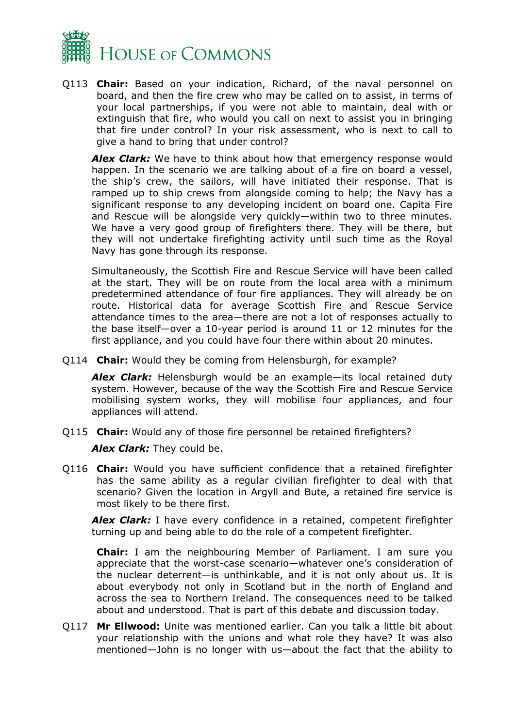

Q113 **Chair:** Based on your indication, Richard, of the naval personnel on board, and then the fire crew who may be called on to assist, in terms of your local partnerships, if you were not able to maintain, deal with or extinguish that fire, who would you call on next to assist you in bringing that fire under control? In your risk assessment, who is next to call to give a hand to bring that under control?

*Alex Clark:* We have to think about how that emergency response would happen. In the scenario we are talking about of a fire on board a vessel, the ship's crew, the sailors, will have initiated their response. That is ramped up to ship crews from alongside coming to help; the Navy has a significant response to any developing incident on board one. Capita Fire and Rescue will be alongside very quickly—within two to three minutes. We have a very good group of firefighters there. They will be there, but they will not undertake firefighting activity until such time as the Royal Navy has gone through its response.

Simultaneously, the Scottish Fire and Rescue Service will have been called at the start. They will be on route from the local area with a minimum predetermined attendance of four fire appliances. They will already be on route. Historical data for average Scottish Fire and Rescue Service attendance times to the area—there are not a lot of responses actually to the base itself—over a 10-year period is around 11 or 12 minutes for the first appliance, and you could have four there within about 20 minutes.

Q114 **Chair:** Would they be coming from Helensburgh, for example?

*Alex Clark:* Helensburgh would be an example—its local retained duty system. However, because of the way the Scottish Fire and Rescue Service mobilising system works, they will mobilise four appliances, and four appliances will attend.

Q115 **Chair:** Would any of those fire personnel be retained firefighters?

*Alex Clark:* They could be.

Q116 **Chair:** Would you have sufficient confidence that a retained firefighter has the same ability as a regular civilian firefighter to deal with that scenario? Given the location in Argyll and Bute, a retained fire service is most likely to be there first.

*Alex Clark:* I have every confidence in a retained, competent firefighter turning up and being able to do the role of a competent firefighter.

**Chair:** I am the neighbouring Member of Parliament. I am sure you appreciate that the worst-case scenario—whatever one's consideration of the nuclear deterrent—is unthinkable, and it is not only about us. It is about everybody not only in Scotland but in the north of England and across the sea to Northern Ireland. The consequences need to be talked about and understood. That is part of this debate and discussion today.

Q117 **Mr Ellwood:** Unite was mentioned earlier. Can you talk a little bit about your relationship with the unions and what role they have? It was also mentioned—John is no longer with us—about the fact that the ability to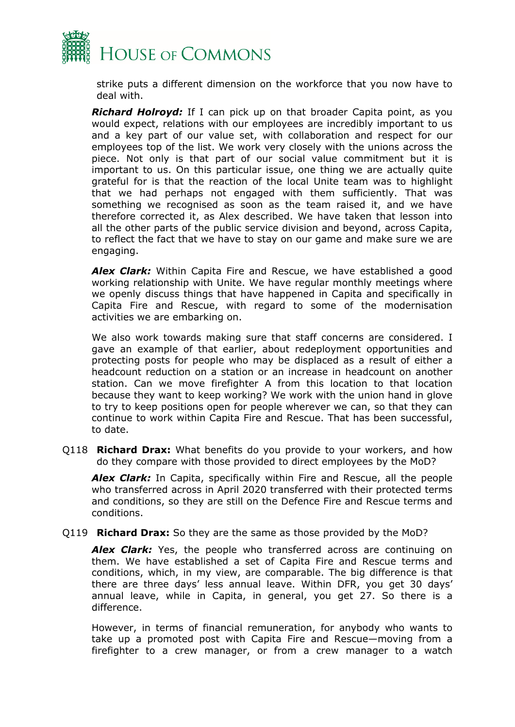

strike puts a different dimension on the workforce that you now have to deal with.

*Richard Holroyd:* If I can pick up on that broader Capita point, as you would expect, relations with our employees are incredibly important to us and a key part of our value set, with collaboration and respect for our employees top of the list. We work very closely with the unions across the piece. Not only is that part of our social value commitment but it is important to us. On this particular issue, one thing we are actually quite grateful for is that the reaction of the local Unite team was to highlight that we had perhaps not engaged with them sufficiently. That was something we recognised as soon as the team raised it, and we have therefore corrected it, as Alex described. We have taken that lesson into all the other parts of the public service division and beyond, across Capita, to reflect the fact that we have to stay on our game and make sure we are engaging.

*Alex Clark:* Within Capita Fire and Rescue, we have established a good working relationship with Unite. We have regular monthly meetings where we openly discuss things that have happened in Capita and specifically in Capita Fire and Rescue, with regard to some of the modernisation activities we are embarking on.

We also work towards making sure that staff concerns are considered. I gave an example of that earlier, about redeployment opportunities and protecting posts for people who may be displaced as a result of either a headcount reduction on a station or an increase in headcount on another station. Can we move firefighter A from this location to that location because they want to keep working? We work with the union hand in glove to try to keep positions open for people wherever we can, so that they can continue to work within Capita Fire and Rescue. That has been successful, to date.

Q118 **Richard Drax:** What benefits do you provide to your workers, and how do they compare with those provided to direct employees by the MoD?

*Alex Clark:* In Capita, specifically within Fire and Rescue, all the people who transferred across in April 2020 transferred with their protected terms and conditions, so they are still on the Defence Fire and Rescue terms and conditions.

Q119 **Richard Drax:** So they are the same as those provided by the MoD?

*Alex Clark:* Yes, the people who transferred across are continuing on them. We have established a set of Capita Fire and Rescue terms and conditions, which, in my view, are comparable. The big difference is that there are three days' less annual leave. Within DFR, you get 30 days' annual leave, while in Capita, in general, you get 27. So there is a difference.

However, in terms of financial remuneration, for anybody who wants to take up a promoted post with Capita Fire and Rescue—moving from a firefighter to a crew manager, or from a crew manager to a watch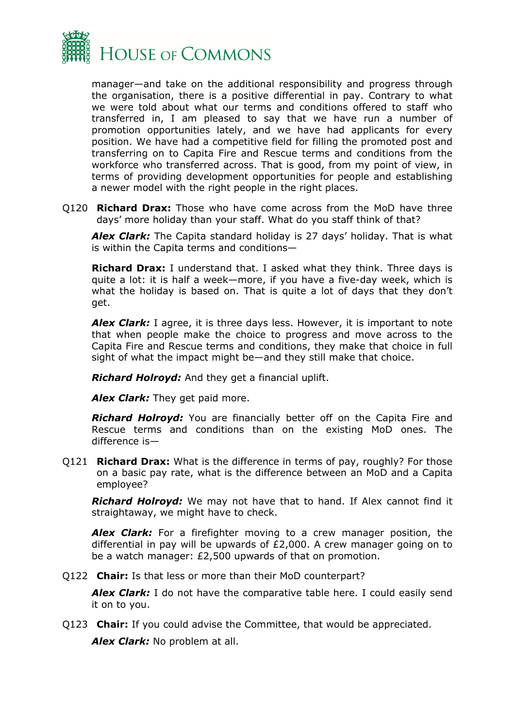

manager—and take on the additional responsibility and progress through the organisation, there is a positive differential in pay. Contrary to what we were told about what our terms and conditions offered to staff who transferred in, I am pleased to say that we have run a number of promotion opportunities lately, and we have had applicants for every position. We have had a competitive field for filling the promoted post and transferring on to Capita Fire and Rescue terms and conditions from the workforce who transferred across. That is good, from my point of view, in terms of providing development opportunities for people and establishing a newer model with the right people in the right places.

Q120 **Richard Drax:** Those who have come across from the MoD have three days' more holiday than your staff. What do you staff think of that?

*Alex Clark:* The Capita standard holiday is 27 days' holiday. That is what is within the Capita terms and conditions—

**Richard Drax:** I understand that. I asked what they think. Three days is quite a lot: it is half a week—more, if you have a five-day week, which is what the holiday is based on. That is quite a lot of days that they don't get.

*Alex Clark:* I agree, it is three days less. However, it is important to note that when people make the choice to progress and move across to the Capita Fire and Rescue terms and conditions, they make that choice in full sight of what the impact might be—and they still make that choice.

*Richard Holroyd:* And they get a financial uplift.

*Alex Clark:* They get paid more.

*Richard Holroyd:* You are financially better off on the Capita Fire and Rescue terms and conditions than on the existing MoD ones. The difference is—

Q121 **Richard Drax:** What is the difference in terms of pay, roughly? For those on a basic pay rate, what is the difference between an MoD and a Capita employee?

*Richard Holroyd:* We may not have that to hand. If Alex cannot find it straightaway, we might have to check.

*Alex Clark:* For a firefighter moving to a crew manager position, the differential in pay will be upwards of £2,000. A crew manager going on to be a watch manager: £2,500 upwards of that on promotion.

Q122 **Chair:** Is that less or more than their MoD counterpart?

*Alex Clark:* I do not have the comparative table here. I could easily send it on to you.

Q123 **Chair:** If you could advise the Committee, that would be appreciated.

*Alex Clark:* No problem at all.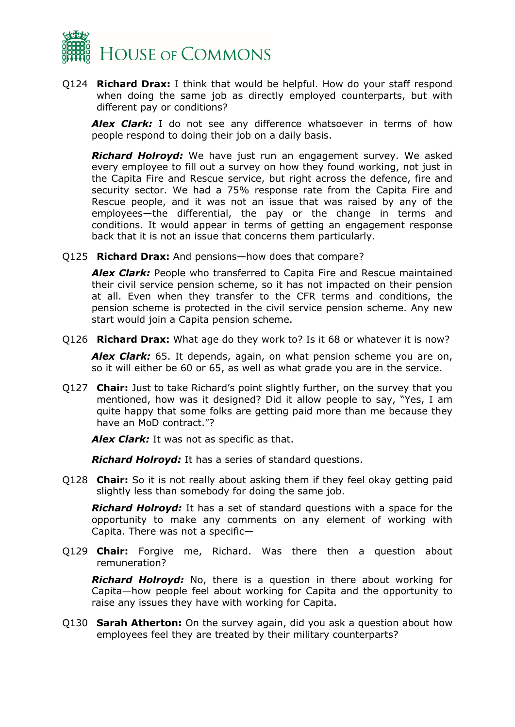

Q124 **Richard Drax:** I think that would be helpful. How do your staff respond when doing the same job as directly employed counterparts, but with different pay or conditions?

**Alex Clark:** I do not see any difference whatsoever in terms of how people respond to doing their job on a daily basis.

*Richard Holroyd:* We have just run an engagement survey. We asked every employee to fill out a survey on how they found working, not just in the Capita Fire and Rescue service, but right across the defence, fire and security sector. We had a 75% response rate from the Capita Fire and Rescue people, and it was not an issue that was raised by any of the employees—the differential, the pay or the change in terms and conditions. It would appear in terms of getting an engagement response back that it is not an issue that concerns them particularly.

Q125 **Richard Drax:** And pensions—how does that compare?

*Alex Clark:* People who transferred to Capita Fire and Rescue maintained their civil service pension scheme, so it has not impacted on their pension at all. Even when they transfer to the CFR terms and conditions, the pension scheme is protected in the civil service pension scheme. Any new start would join a Capita pension scheme.

Q126 **Richard Drax:** What age do they work to? Is it 68 or whatever it is now?

*Alex Clark:* 65. It depends, again, on what pension scheme you are on, so it will either be 60 or 65, as well as what grade you are in the service.

Q127 **Chair:** Just to take Richard's point slightly further, on the survey that you mentioned, how was it designed? Did it allow people to say, "Yes, I am quite happy that some folks are getting paid more than me because they have an MoD contract."?

*Alex Clark:* It was not as specific as that.

*Richard Holroyd:* It has a series of standard questions.

Q128 **Chair:** So it is not really about asking them if they feel okay getting paid slightly less than somebody for doing the same job.

*Richard Holroyd:* It has a set of standard questions with a space for the opportunity to make any comments on any element of working with Capita. There was not a specific—

Q129 **Chair:** Forgive me, Richard. Was there then a question about remuneration?

*Richard Holroyd:* No, there is a question in there about working for Capita—how people feel about working for Capita and the opportunity to raise any issues they have with working for Capita.

Q130 **Sarah Atherton:** On the survey again, did you ask a question about how employees feel they are treated by their military counterparts?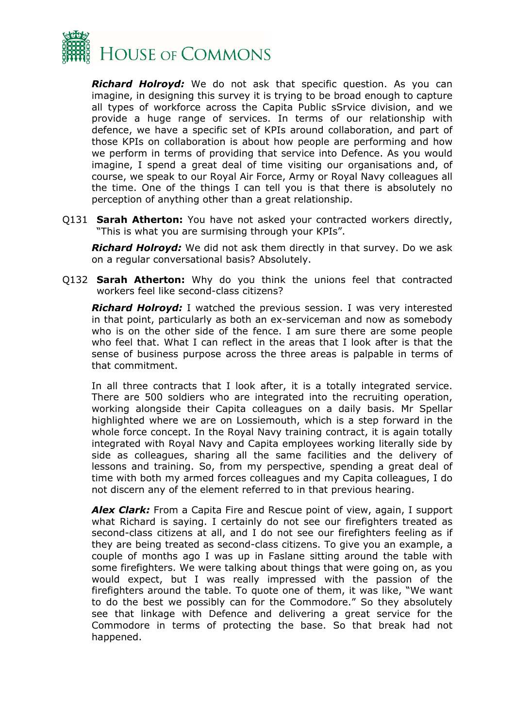

*Richard Holroyd:* We do not ask that specific question. As you can imagine, in designing this survey it is trying to be broad enough to capture all types of workforce across the Capita Public sSrvice division, and we provide a huge range of services. In terms of our relationship with defence, we have a specific set of KPIs around collaboration, and part of those KPIs on collaboration is about how people are performing and how we perform in terms of providing that service into Defence. As you would imagine, I spend a great deal of time visiting our organisations and, of course, we speak to our Royal Air Force, Army or Royal Navy colleagues all the time. One of the things I can tell you is that there is absolutely no perception of anything other than a great relationship.

Q131 **Sarah Atherton:** You have not asked your contracted workers directly, "This is what you are surmising through your KPIs".

*Richard Holroyd:* We did not ask them directly in that survey. Do we ask on a regular conversational basis? Absolutely.

Q132 **Sarah Atherton:** Why do you think the unions feel that contracted workers feel like second-class citizens?

*Richard Holroyd:* I watched the previous session. I was very interested in that point, particularly as both an ex-serviceman and now as somebody who is on the other side of the fence. I am sure there are some people who feel that. What I can reflect in the areas that I look after is that the sense of business purpose across the three areas is palpable in terms of that commitment.

In all three contracts that I look after, it is a totally integrated service. There are 500 soldiers who are integrated into the recruiting operation, working alongside their Capita colleagues on a daily basis. Mr Spellar highlighted where we are on Lossiemouth, which is a step forward in the whole force concept. In the Royal Navy training contract, it is again totally integrated with Royal Navy and Capita employees working literally side by side as colleagues, sharing all the same facilities and the delivery of lessons and training. So, from my perspective, spending a great deal of time with both my armed forces colleagues and my Capita colleagues, I do not discern any of the element referred to in that previous hearing.

*Alex Clark:* From a Capita Fire and Rescue point of view, again, I support what Richard is saying. I certainly do not see our firefighters treated as second-class citizens at all, and I do not see our firefighters feeling as if they are being treated as second-class citizens. To give you an example, a couple of months ago I was up in Faslane sitting around the table with some firefighters. We were talking about things that were going on, as you would expect, but I was really impressed with the passion of the firefighters around the table. To quote one of them, it was like, "We want to do the best we possibly can for the Commodore." So they absolutely see that linkage with Defence and delivering a great service for the Commodore in terms of protecting the base. So that break had not happened.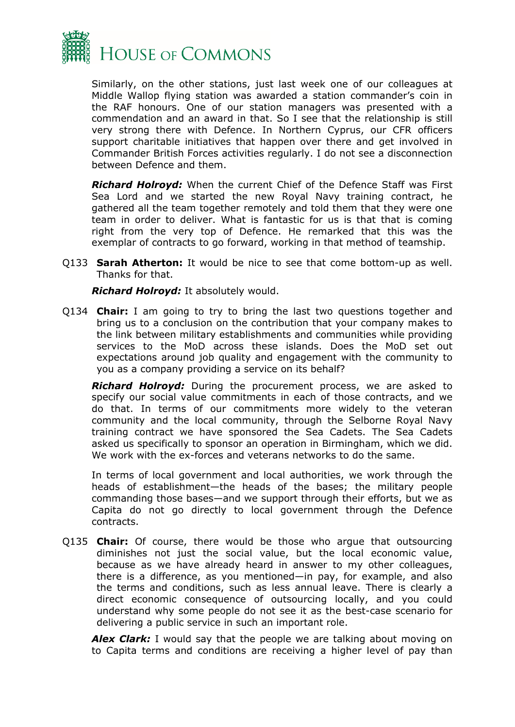

Similarly, on the other stations, just last week one of our colleagues at Middle Wallop flying station was awarded a station commander's coin in the RAF honours. One of our station managers was presented with a commendation and an award in that. So I see that the relationship is still very strong there with Defence. In Northern Cyprus, our CFR officers support charitable initiatives that happen over there and get involved in Commander British Forces activities regularly. I do not see a disconnection between Defence and them.

*Richard Holroyd:* When the current Chief of the Defence Staff was First Sea Lord and we started the new Royal Navy training contract, he gathered all the team together remotely and told them that they were one team in order to deliver. What is fantastic for us is that that is coming right from the very top of Defence. He remarked that this was the exemplar of contracts to go forward, working in that method of teamship.

Q133 **Sarah Atherton:** It would be nice to see that come bottom-up as well. Thanks for that.

*Richard Holroyd:* It absolutely would.

Q134 **Chair:** I am going to try to bring the last two questions together and bring us to a conclusion on the contribution that your company makes to the link between military establishments and communities while providing services to the MoD across these islands. Does the MoD set out expectations around job quality and engagement with the community to you as a company providing a service on its behalf?

*Richard Holroyd:* During the procurement process, we are asked to specify our social value commitments in each of those contracts, and we do that. In terms of our commitments more widely to the veteran community and the local community, through the Selborne Royal Navy training contract we have sponsored the Sea Cadets. The Sea Cadets asked us specifically to sponsor an operation in Birmingham, which we did. We work with the ex-forces and veterans networks to do the same.

In terms of local government and local authorities, we work through the heads of establishment—the heads of the bases; the military people commanding those bases—and we support through their efforts, but we as Capita do not go directly to local government through the Defence contracts.

Q135 **Chair:** Of course, there would be those who argue that outsourcing diminishes not just the social value, but the local economic value, because as we have already heard in answer to my other colleagues, there is a difference, as you mentioned—in pay, for example, and also the terms and conditions, such as less annual leave. There is clearly a direct economic consequence of outsourcing locally, and you could understand why some people do not see it as the best-case scenario for delivering a public service in such an important role.

*Alex Clark:* I would say that the people we are talking about moving on to Capita terms and conditions are receiving a higher level of pay than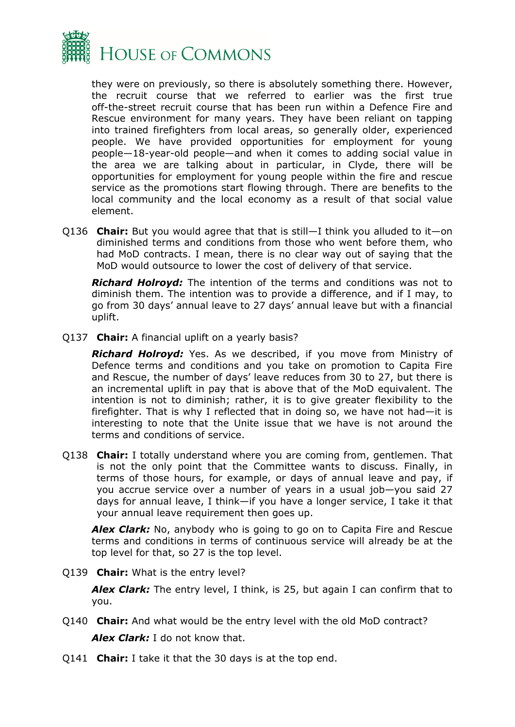

they were on previously, so there is absolutely something there. However, the recruit course that we referred to earlier was the first true off-the-street recruit course that has been run within a Defence Fire and Rescue environment for many years. They have been reliant on tapping into trained firefighters from local areas, so generally older, experienced people. We have provided opportunities for employment for young people—18-year-old people—and when it comes to adding social value in the area we are talking about in particular, in Clyde, there will be opportunities for employment for young people within the fire and rescue service as the promotions start flowing through. There are benefits to the local community and the local economy as a result of that social value element.

Q136 **Chair:** But you would agree that that is still—I think you alluded to it—on diminished terms and conditions from those who went before them, who had MoD contracts. I mean, there is no clear way out of saying that the MoD would outsource to lower the cost of delivery of that service.

*Richard Holroyd:* The intention of the terms and conditions was not to diminish them. The intention was to provide a difference, and if I may, to go from 30 days' annual leave to 27 days' annual leave but with a financial uplift.

Q137 **Chair:** A financial uplift on a yearly basis?

*Richard Holroyd:* Yes. As we described, if you move from Ministry of Defence terms and conditions and you take on promotion to Capita Fire and Rescue, the number of days' leave reduces from 30 to 27, but there is an incremental uplift in pay that is above that of the MoD equivalent. The intention is not to diminish; rather, it is to give greater flexibility to the firefighter. That is why I reflected that in doing so, we have not had—it is interesting to note that the Unite issue that we have is not around the terms and conditions of service.

Q138 **Chair:** I totally understand where you are coming from, gentlemen. That is not the only point that the Committee wants to discuss. Finally, in terms of those hours, for example, or days of annual leave and pay, if you accrue service over a number of years in a usual job—you said 27 days for annual leave, I think—if you have a longer service, I take it that your annual leave requirement then goes up.

*Alex Clark:* No, anybody who is going to go on to Capita Fire and Rescue terms and conditions in terms of continuous service will already be at the top level for that, so 27 is the top level.

Q139 **Chair:** What is the entry level?

*Alex Clark:* The entry level, I think, is 25, but again I can confirm that to you.

- Q140 **Chair:** And what would be the entry level with the old MoD contract? *Alex Clark:* I do not know that.
- Q141 **Chair:** I take it that the 30 days is at the top end.